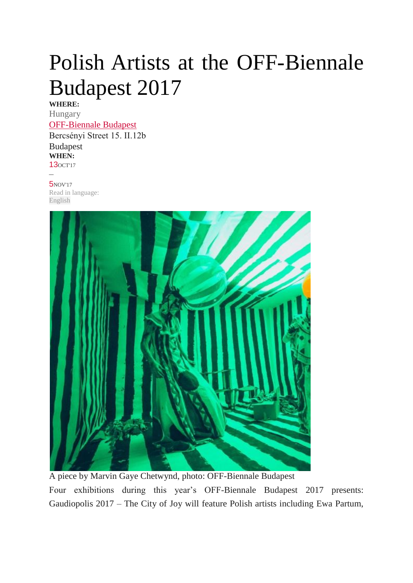## Polish Artists at the OFF-Biennale Budapest 2017

**WHERE:**

Hungary [OFF-Biennale Budapest](http://culture.pl/en/place/off-biennale-budapest) Bercsényi Street 15. II.12b Budapest **WHEN:** 13OCT'17 –

**5**NOV'17 Read in language: English



A piece by Marvin Gaye Chetwynd, photo: OFF-Biennale Budapest Four exhibitions during this year's OFF-Biennale Budapest 2017 presents: Gaudiopolis 2017 – The City of Joy will feature Polish artists including Ewa Partum,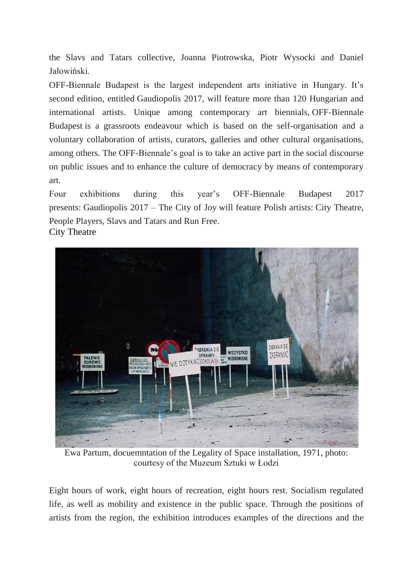the Slavs and Tatars collective, Joanna Piotrowska, Piotr Wysocki and Daniel Jałowiński.

OFF-Biennale Budapest is the largest independent arts initiative in Hungary. It's second edition, entitled Gaudiopolis 2017, will feature more than 120 Hungarian and international artists. Unique among contemporary art biennials, OFF-Biennale Budapest is a grassroots endeavour which is based on the self-organisation and a voluntary collaboration of artists, curators, galleries and other cultural organisations, among others. The OFF-Biennale's goal is to take an active part in the social discourse on public issues and to enhance the culture of democracy by means of contemporary art.

Four exhibitions during this year's OFF-Biennale Budapest 2017 presents: Gaudiopolis 2017 – The City of Joy will feature Polish artists: City Theatre, People Players, Slavs and Tatars and Run Free. City Theatre



Ewa Partum, docuemntation of the Legality of Space installation, 1971, photo: courtesy of the Muzeum Sztuki w Łodzi

Eight hours of work, eight hours of recreation, eight hours rest. Socialism regulated life, as well as mobility and existence in the public space. Through the positions of artists from the region, the exhibition introduces examples of the directions and the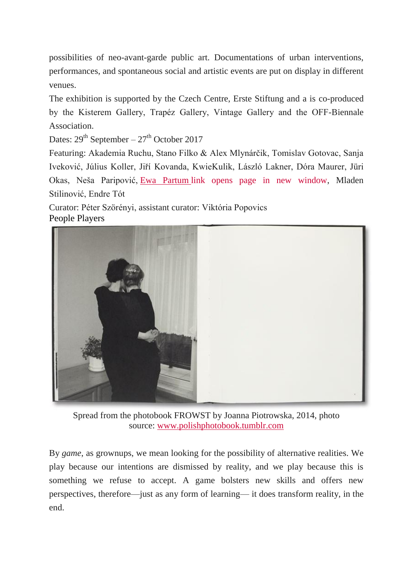possibilities of neo-avant-garde public art. Documentations of urban interventions, performances, and spontaneous social and artistic events are put on display in different venues.

The exhibition is supported by the Czech Centre, Erste Stiftung and a is co-produced by the Kisterem Gallery, Trapéz Gallery, Vintage Gallery and the OFF-Biennale Association.

Dates:  $29^{th}$  September –  $27^{th}$  October 2017

Featuring: Akademia Ruchu, Stano Filko & Alex Mlynárčik, Tomislav Gotovac, Sanja Iveković, Július Koller, Jiří Kovanda, KwieKulik, László Lakner, Dóra Maurer, Jüri Okas, Neša Paripović, Ewa Partum [link opens page in new window,](http://culture.pl/en/artist/ewa-partum) Mladen Stilinović, Endre Tót

Curator: Péter Szörényi, assistant curator: Viktória Popovics People Players



Spread from the photobook FROWST by Joanna Piotrowska, 2014, photo source: [www.polishphotobook.tumblr.com](http://www.polishphotobook.tumblr.com/)

By *game*, as grownups, we mean looking for the possibility of alternative realities. We play because our intentions are dismissed by reality, and we play because this is something we refuse to accept. A game bolsters new skills and offers new perspectives, therefore—just as any form of learning— it does transform reality, in the end.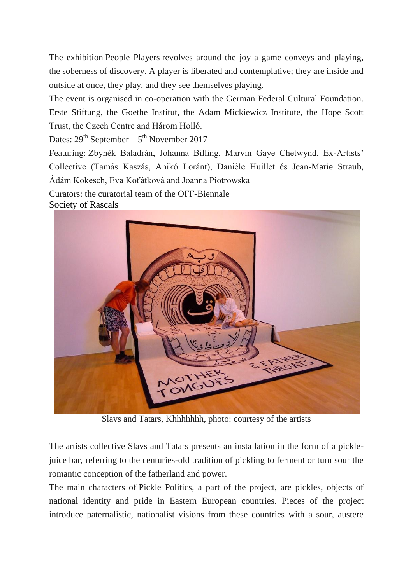The exhibition People Players revolves around the joy a game conveys and playing, the soberness of discovery. A player is liberated and contemplative; they are inside and outside at once, they play, and they see themselves playing.

The event is organised in co-operation with the German Federal Cultural Foundation. Erste Stiftung, the Goethe Institut, the Adam Mickiewicz Institute, the Hope Scott Trust, the Czech Centre and Három Holló.

Dates:  $29<sup>th</sup>$  September –  $5<sup>th</sup>$  November 2017

Featuring: Zbyněk Baladrán, Johanna Billing, Marvin Gaye Chetwynd, Ex-Artists' Collective (Tamás Kaszás, Anikó Loránt), Danièle Huillet és Jean-Marie Straub, Ádám Kokesch, Eva Koťátková and Joanna Piotrowska

Curators: the curatorial team of the OFF-Biennale Society of Rascals



Slavs and Tatars, Khhhhhhh, photo: courtesy of the artists

The artists collective Slavs and Tatars presents an installation in the form of a picklejuice bar, referring to the centuries-old tradition of pickling to ferment or turn sour the romantic conception of the fatherland and power.

The main characters of Pickle Politics, a part of the project, are pickles, objects of national identity and pride in Eastern European countries. Pieces of the project introduce paternalistic, nationalist visions from these countries with a sour, austere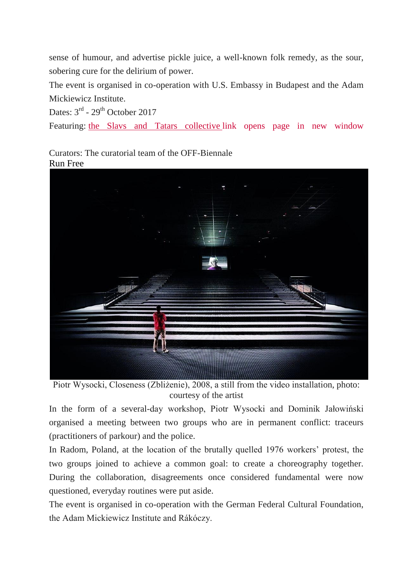sense of humour, and advertise pickle juice, a well-known folk remedy, as the sour, sobering cure for the delirium of power.

The event is organised in co-operation with U.S. Embassy in Budapest and the Adam Mickiewicz Institute.

Dates: 3<sup>rd</sup> - 29<sup>th</sup> October 2017

Featuring: the Slavs and Tatars collective [link opens page in new window](http://culture.pl/en/artist/slavs-and-tatars)

Curators: The curatorial team of the OFF-Biennale Run Free



Piotr Wysocki, Closeness (Zbliżenie), 2008, a still from the video installation, photo: courtesy of the artist

In the form of a several-day workshop, Piotr Wysocki and Dominik Jałowiński organised a meeting between two groups who are in permanent conflict: traceurs (practitioners of parkour) and the police.

In Radom, Poland, at the location of the brutally quelled 1976 workers' protest, the two groups joined to achieve a common goal: to create a choreography together. During the collaboration, disagreements once considered fundamental were now questioned, everyday routines were put aside.

The event is organised in co-operation with the German Federal Cultural Foundation, the Adam Mickiewicz Institute and Rákóczy.